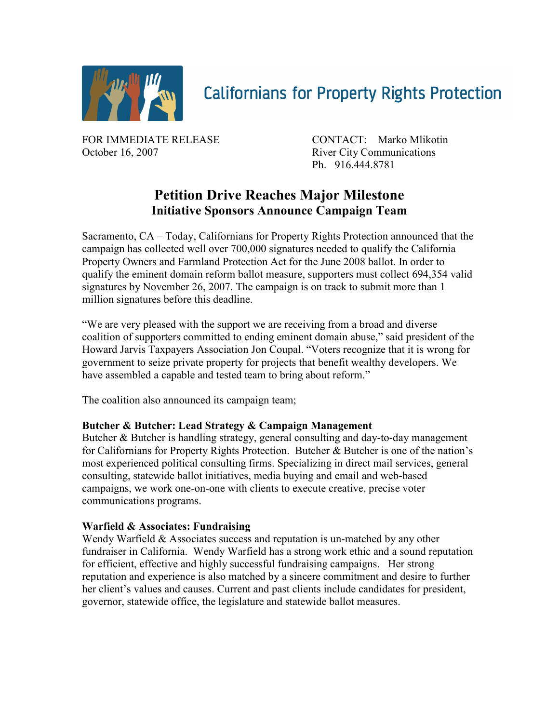

# **Californians for Property Rights Protection**

FOR IMMEDIATE RELEASE CONTACT: Marko Mlikotin October 16, 2007 River City Communications

Ph. 916.444.8781

## **Petition Drive Reaches Major Milestone Initiative Sponsors Announce Campaign Team**

Sacramento, CA – Today, Californians for Property Rights Protection announced that the campaign has collected well over 700,000 signatures needed to qualify the California Property Owners and Farmland Protection Act for the June 2008 ballot. In order to qualify the eminent domain reform ballot measure, supporters must collect 694,354 valid signatures by November 26, 2007. The campaign is on track to submit more than 1 million signatures before this deadline.

"We are very pleased with the support we are receiving from a broad and diverse coalition of supporters committed to ending eminent domain abuse," said president of the Howard Jarvis Taxpayers Association Jon Coupal. "Voters recognize that it is wrong for government to seize private property for projects that benefit wealthy developers. We have assembled a capable and tested team to bring about reform."

The coalition also announced its campaign team;

### **Butcher & Butcher: Lead Strategy & Campaign Management**

Butcher & Butcher is handling strategy, general consulting and day-to-day management for Californians for Property Rights Protection. Butcher & Butcher is one of the nation's most experienced political consulting firms. Specializing in direct mail services, general consulting, statewide ballot initiatives, media buying and email and web-based campaigns, we work one-on-one with clients to execute creative, precise voter communications programs.

#### **Warfield & Associates: Fundraising**

Wendy Warfield & Associates success and reputation is un-matched by any other fundraiser in California. Wendy Warfield has a strong work ethic and a sound reputation for efficient, effective and highly successful fundraising campaigns. Her strong reputation and experience is also matched by a sincere commitment and desire to further her client's values and causes. Current and past clients include candidates for president, governor, statewide office, the legislature and statewide ballot measures.